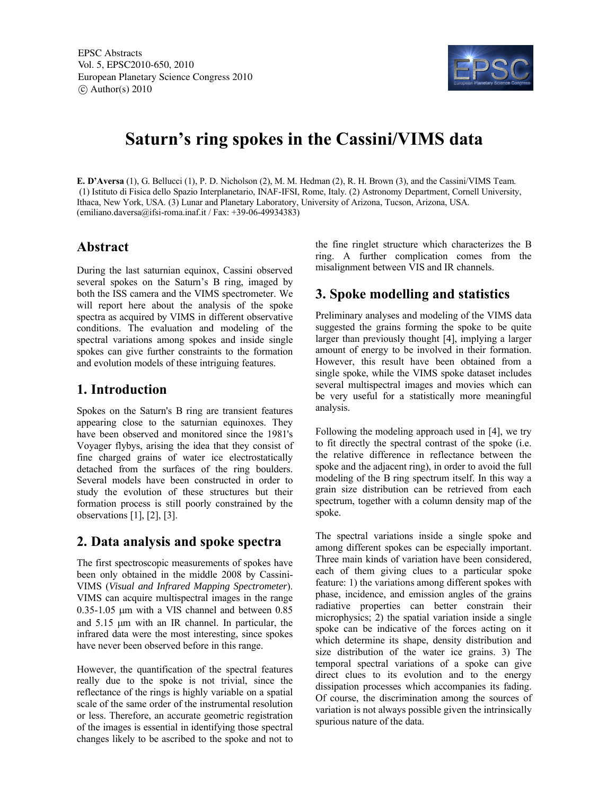EPSC Abstracts Vol. 5, EPSC2010-650, 2010 European Planetary Science Congress 2010  $\circ$  Author(s) 2010



# **Saturn's ring spokes in the Cassini/VIMS data**

**E. D'Aversa** (1), G. Bellucci (1), P. D. Nicholson (2), M. M. Hedman (2), R. H. Brown (3), and the Cassini/VIMS Team. (1) Istituto di Fisica dello Spazio Interplanetario, INAF-IFSI, Rome, Italy. (2) Astronomy Department, Cornell University, Ithaca, New York, USA. (3) Lunar and Planetary Laboratory, University of Arizona, Tucson, Arizona, USA.  $(\text{emiliano.daversa@ifsi-roma.inaf.it}/\text{Fax}: +39-06-49934383)$ 

### **Abstract**

During the last saturnian equinox, Cassini observed several spokes on the Saturn's B ring, imaged by both the ISS camera and the VIMS spectrometer. We will report here about the analysis of the spoke spectra as acquired by VIMS in different observative conditions. The evaluation and modeling of the spectral variations among spokes and inside single spokes can give further constraints to the formation and evolution models of these intriguing features.

#### **1. Introduction**

Spokes on the Saturn's B ring are transient features appearing close to the saturnian equinoxes. They have been observed and monitored since the 1981's Voyager flybys, arising the idea that they consist of fine charged grains of water ice electrostatically detached from the surfaces of the ring boulders. Several models have been constructed in order to study the evolution of these structures but their formation process is still poorly constrained by the observations [1], [2], [3].

### **2. Data analysis and spoke spectra**

The first spectroscopic measurements of spokes have been only obtained in the middle 2008 by Cassini-VIMS (*Visual and Infrared Mapping Spectrometer*). VIMS can acquire multispectral images in the range  $0.35-1.05$  µm with a VIS channel and between  $0.85$ and 5.15 um with an IR channel. In particular, the infrared data were the most interesting, since spokes have never been observed before in this range.

However, the quantification of the spectral features really due to the spoke is not trivial, since the reflectance of the rings is highly variable on a spatial scale of the same order of the instrumental resolution or less. Therefore, an accurate geometric registration of the images is essential in identifying those spectral changes likely to be ascribed to the spoke and not to

the fine ringlet structure which characterizes the B ring. A further complication comes from the misalignment between VIS and IR channels.

## **3. Spoke modelling and statistics**

Preliminary analyses and modeling of the VIMS data suggested the grains forming the spoke to be quite larger than previously thought [4], implying a larger amount of energy to be involved in their formation. However, this result have been obtained from a single spoke, while the VIMS spoke dataset includes several multispectral images and movies which can be very useful for a statistically more meaningful analysis.

Following the modeling approach used in [4], we try to fit directly the spectral contrast of the spoke (i.e. the relative difference in reflectance between the spoke and the adjacent ring), in order to avoid the full modeling of the B ring spectrum itself. In this way a grain size distribution can be retrieved from each spectrum, together with a column density map of the spoke.

The spectral variations inside a single spoke and among different spokes can be especially important. Three main kinds of variation have been considered, each of them giving clues to a particular spoke feature: 1) the variations among different spokes with phase, incidence, and emission angles of the grains radiative properties can better constrain their microphysics; 2) the spatial variation inside a single spoke can be indicative of the forces acting on it which determine its shape, density distribution and size distribution of the water ice grains. 3) The temporal spectral variations of a spoke can give direct clues to its evolution and to the energy dissipation processes which accompanies its fading. Of course, the discrimination among the sources of variation is not always possible given the intrinsically spurious nature of the data.